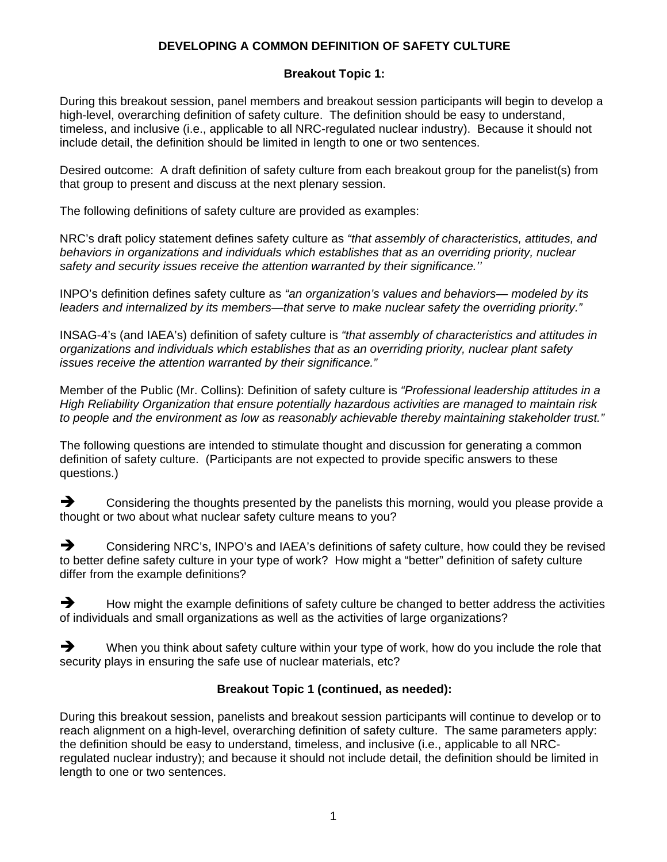## **DEVELOPING A COMMON DEFINITION OF SAFETY CULTURE**

## **Breakout Topic 1:**

During this breakout session, panel members and breakout session participants will begin to develop a high-level, overarching definition of safety culture. The definition should be easy to understand, timeless, and inclusive (i.e., applicable to all NRC-regulated nuclear industry). Because it should not include detail, the definition should be limited in length to one or two sentences.

Desired outcome: A draft definition of safety culture from each breakout group for the panelist(s) from that group to present and discuss at the next plenary session.

The following definitions of safety culture are provided as examples:

NRC's draft policy statement defines safety culture as *"that assembly of characteristics, attitudes, and behaviors in organizations and individuals which establishes that as an overriding priority, nuclear safety and security issues receive the attention warranted by their significance.''* 

INPO's definition defines safety culture as *"an organization's values and behaviors— modeled by its leaders and internalized by its members—that serve to make nuclear safety the overriding priority."* 

INSAG-4's (and IAEA's) definition of safety culture is *"that assembly of characteristics and attitudes in organizations and individuals which establishes that as an overriding priority, nuclear plant safety issues receive the attention warranted by their significance."* 

Member of the Public (Mr. Collins): Definition of safety culture is *"Professional leadership attitudes in a High Reliability Organization that ensure potentially hazardous activities are managed to maintain risk to people and the environment as low as reasonably achievable thereby maintaining stakeholder trust."*

The following questions are intended to stimulate thought and discussion for generating a common definition of safety culture. (Participants are not expected to provide specific answers to these questions.)

 $\rightarrow$  Considering the thoughts presented by the panelists this morning, would you please provide a thought or two about what nuclear safety culture means to you?

 $\rightarrow$  Considering NRC's, INPO's and IAEA's definitions of safety culture, how could they be revised to better define safety culture in your type of work? How might a "better" definition of safety culture differ from the example definitions?

 $\rightarrow$  How might the example definitions of safety culture be changed to better address the activities of individuals and small organizations as well as the activities of large organizations?

 $\rightarrow$  When you think about safety culture within your type of work, how do you include the role that security plays in ensuring the safe use of nuclear materials, etc?

## **Breakout Topic 1 (continued, as needed):**

During this breakout session, panelists and breakout session participants will continue to develop or to reach alignment on a high-level, overarching definition of safety culture. The same parameters apply: the definition should be easy to understand, timeless, and inclusive (i.e., applicable to all NRCregulated nuclear industry); and because it should not include detail, the definition should be limited in length to one or two sentences.